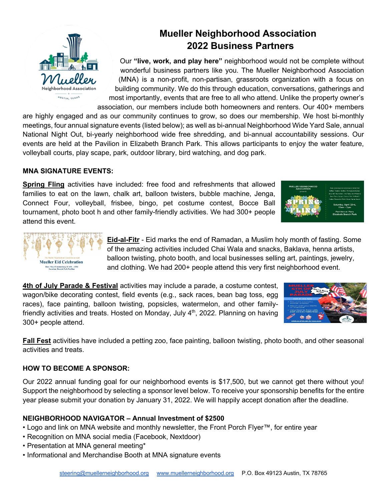

# **Mueller Neighborhood Association 2022 Business Partners**

Our **"live, work, and play here"** neighborhood would not be complete without wonderful business partners like you. The Mueller Neighborhood Association (MNA) is a non-profit, non-partisan, grassroots organization with a focus on building community. We do this through education, conversations, gatherings and most importantly, events that are free to all who attend. Unlike the property owner's association, our members include both homeowners and renters. Our 400+ members

are highly engaged and as our community continues to grow, so does our membership. We host bi-monthly meetings, four annual signature events (listed below); as well as bi-annual Neighborhood Wide Yard Sale, annual National Night Out, bi-yearly neighborhood wide free shredding, and bi-annual accountability sessions. Our events are held at the Pavilion in Elizabeth Branch Park. This allows participants to enjoy the water feature, volleyball courts, play scape, park, outdoor library, bird watching, and dog park.

# **MNA SIGNATURE EVENTS:**

**Spring Fling** activities have included: free food and refreshments that allowed families to eat on the lawn, chalk art, balloon twisters, bubble machine, Jenga, Connect Four, volleyball, frisbee, bingo, pet costume contest, Bocce Ball tournament, photo boot h and other family-friendly activities. We had 300+ people attend this event.





**Eid-al-Fitr** - Eid marks the end of Ramadan, a Muslim holy month of fasting. Some of the amazing activities included Chai Wala and snacks, Baklava, henna artists, balloon twisting, photo booth, and local businesses selling art, paintings, jewelry, and clothing. We had 200+ people attend this very first neighborhood event.

**4th of July Parade & Festival** activities may include a parade, a costume contest, wagon/bike decorating contest, field events (e.g., sack races, bean bag toss, egg races), face painting, balloon twisting, popsicles, watermelon, and other familyfriendly activities and treats. Hosted on Monday, July  $4<sup>th</sup>$ , 2022. Planning on having 300+ people attend.



**Fall Fest** activities have included a petting zoo, face painting, balloon twisting, photo booth, and other seasonal activities and treats.

## **HOW TO BECOME A SPONSOR:**

Our 2022 annual funding goal for our neighborhood events is \$17,500, but we cannot get there without you! Support the neighborhood by selecting a sponsor level below. To receive your sponsorship benefits for the entire year please submit your donation by January 31, 2022. We will happily accept donation after the deadline.

## **NEIGHBORHOOD NAVIGATOR – Annual Investment of \$2500**

- Logo and link on MNA website and monthly newsletter, the Front Porch Flyer™, for entire year
- Recognition on MNA social media (Facebook, Nextdoor)
- Presentation at MNA general meeting\*
- Informational and Merchandise Booth at MNA signature events